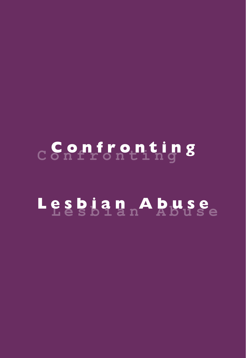# **Confronting** Confronting

# **Lesbian Abuse** Lesbian Abuse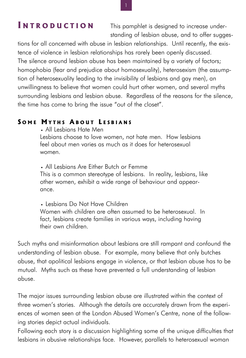## **I NTRODUCTION**

This pamphlet is designed to increase understanding of lesbian abuse, and to offer sugges-

tions for all concerned with abuse in lesbian relationships. Until recently, the existence of violence in lesbian relationships has rarely been openly discussed. The silence around lesbian abuse has been maintained by a variety of factors; homophobia (fear and prejudice about homosexuality), heterosexism (the assumption of heterosexuality leading to the invisibility of lesbians and gay men), an unwillingness to believe that women could hurt other women, and several myths surrounding lesbians and lesbian abuse. Regardless of the reasons for the silence, the time has come to bring the issue "out of the closet".

#### **S OME M YTHS A BOUT L ESBIANS**

. All Lesbians Hate Men Lesbians choose to love women, not hate men. How lesbians feel about men varies as much as it does for heterosexual women.

. All Lesbians Are Either Butch or Femme This is a common stereotype of lesbians. In reality, lesbians, like other women, exhibit a wide range of behaviour and appearance.

. Lesbians Do Not Have Children Women with children are often assumed to be heterosexual. In fact, lesbians create families in various ways, including having their own children.

Such myths and misinformation about lesbians are still rampant and confound the understanding of lesbian abuse. For example, many believe that only butches abuse, that apolitical lesbians engage in violence, or that lesbian abuse has to be mutual. Myths such as these have prevented a full understanding of lesbian abuse.

The major issues surrounding lesbian abuse are illustrated within the context of three women's stories. Although the details are accurately drawn from the experiences of women seen at the London Abused Women's Centre, none of the following stories depict actual individuals.

Following each story is a discussion highlighting some of the unique difficulties that lesbians in abusive relationships face. However, parallels to heterosexual woman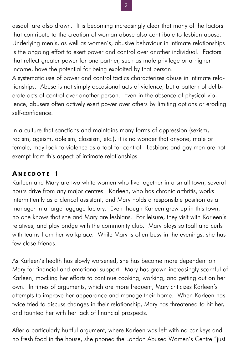assault are also drawn. It is becoming increasingly clear that many of the factors that contribute to the creation of woman abuse also contribute to lesbian abuse. Underlying men's, as well as women's, abusive behaviour in intimate relationships is the ongoing effort to exert power and control over another individual. Factors that reflect greater power for one partner, such as male privilege or a higher income, have the potential for being exploited by that person.

A systematic use of power and control tactics characterizes abuse in intimate relationships. Abuse is not simply occasional acts of violence, but a pattern of deliberate acts of control over another person. Even in the absence of physical violence, abusers often actively exert power over others by limiting options or eroding self-confidence.

In a culture that sanctions and maintains many forms of oppression (sexism, racism, ageism, ableism, classism, etc.), it is no wonder that anyone, male or female, may look to violence as a tool for control. Lesbians and gay men are not exempt from this aspect of intimate relationships.

## **A NECDOTE 1**

Karleen and Mary are two white women who live together in a small town, several hours drive from any major centres. Karleen, who has chronic arthritis, works intermittently as a clerical assistant, and Mary holds a responsible position as a manager in a large luggage factory. Even though Karleen grew up in this town, no one knows that she and Mary are lesbians. For leisure, they visit with Karleen's relatives, and play bridge with the community club. Mary plays softball and curls with teams from her workplace. While Mary is often busy in the evenings, she has few close friends.

As Karleen's health has slowly worsened, she has become more dependent on Mary for financial and emotional support. Mary has grown increasingly scornful of Karleen, mocking her efforts to continue cooking, working, and getting out on her own. In times of arguments, which are more frequent, Mary criticizes Karleen's attempts to improve her appearance and manage their home. When Karleen has twice tried to discuss changes in their relationship, Mary has threatened to hit her, and taunted her with her lack of financial prospects.

After a particularly hurtful argument, where Karleen was left with no car keys and no fresh food in the house, she phoned the London Abused Women's Centre "just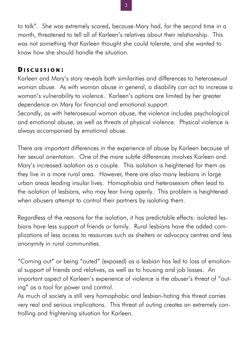to talk". She was extremely scared, because Mary had, for the second time in a month, threatened to tell all of Karleen's relatives about their relationship. This was not something that Karleen thought she could tolerate, and she wanted to know how she should handle the situation.

#### **D ISCUSSION :**

Karleen and Mary's story reveals both similarities and differences to heterosexual woman abuse. As with woman abuse in general, a disability can act to increase a woman's vulnerability to violence. Karleen's options are limited by her greater dependence on Mary for financial and emotional support.

Secondly, as with heterosexual woman abuse, the violence includes psychological and emotional abuse, as well as threats of physical violence. Physical violence is always accompanied by emotional abuse.

There are important differences in the experience of abuse by Karleen because of her sexual orientation. One of the more subtle differences involves Karleen and Mary's increased isolation as a couple. This isolation is heightened for them as they live in a more rural area. However, there are also many lesbians in large urban areas leading insular lives. Homophobia and heterosexism often lead to the isolation of lesbians, who may fear living openly. This problem is heightened when abusers attempt to control their partners by isolating them.

Regardless of the reasons for the isolation, it has predictable effects: isolated lesbians have less support of friends or family. Rural lesbians have the added complications of less access to resources such as shelters or advocacy centres and less anonymity in rural communities.

"Coming out" or being "outed" (exposed) as a lesbian has led to loss of emotional support of friends and relatives, as well as to housing and job losses. An important aspect of Karleen's experience of violence is the abuser's threat of "outing" as a tool for power and control.

As much of society is still very homophobic and lesbian-hating this threat carries very real and serious implications. This threat of outing creates an extremely controlling and frightening situation for Karleen.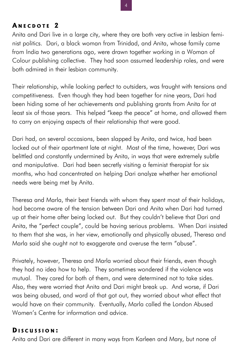#### **A NECDOTE 2**

Anita and Dari live in a large city, where they are both very active in lesbian feminist politics. Dari, a black woman from Trinidad, and Anita, whose family came from India two generations ago, were drawn together working in a Woman of Colour publishing collective. They had soon assumed leadership roles, and were both admired in their lesbian community.

Their relationship, while looking perfect to outsiders, was fraught with tensions and competitiveness. Even though they had been together for nine years, Dari had been hiding some of her achievements and publishing grants from Anita for at least six of those years. This helped "keep the peace" at home, and allowed them to carry on enjoying aspects of their relationship that were good.

Dari had, on several occasions, been slapped by Anita, and twice, had been locked out of their apartment late at night. Most of the time, however, Dari was belittled and constantly undermined by Anita, in ways that were extremely subtle and manipulative. Dari had been secretly visiting a feminist therapist for six months, who had concentrated on helping Dari analyze whether her emotional needs were being met by Anita.

Theresa and Marla, their best friends with whom they spent most of their holidays, had become aware of the tension between Dari and Anita when Dari had turned up at their home after being locked out. But they couldn't believe that Dari and Anita, the "perfect couple", could be having serious problems. When Dari insisted to them that she was, in her view, emotionally and physically abused, Theresa and Marla said she ought not to exaggerate and overuse the term "abuse".

Privately, however, Theresa and Marla worried about their friends, even though they had no idea how to help. They sometimes wondered if the violence was mutual. They cared for both of them, and were determined not to take sides. Also, they were worried that Anita and Dari might break up. And worse, if Dari was being abused, and word of that got out, they worried about what effect that would have on their community. Eventually, Marla called the London Abused Women's Centre for information and advice.

#### **D ISCUSSION :**

Anita and Dari are different in many ways from Karleen and Mary, but none of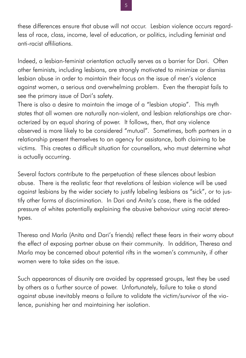these differences ensure that abuse will not occur. Lesbian violence occurs regardless of race, class, income, level of education, or politics, including feminist and anti-racist affiliations.

Indeed, a lesbian-feminist orientation actually serves as a barrier for Dari. Often other feminists, including lesbians, are strongly motivated to minimize or dismiss lesbian abuse in order to maintain their focus on the issue of men's violence against women, a serious and overwhelming problem. Even the therapist fails to see the primary issue of Dari's safety.

There is also a desire to maintain the image of a "lesbian utopia". This myth states that all women are naturally non-violent, and lesbian relationships are characterized by an equal sharing of power. It follows, then, that any violence observed is more likely to be considered "mutual". Sometimes, both partners in a relationship present themselves to an agency for assistance, both claiming to be victims. This creates a difficult situation for counsellors, who must determine what is actually occurring.

Several factors contribute to the perpetuation of these silences about lesbian abuse. There is the realistic fear that revelations of lesbian violence will be used against lesbians by the wider society to justify labeling lesbians as "sick", or to justify other forms of discrimination. In Dari and Anita's case, there is the added pressure of whites potentially explaining the abusive behaviour using racist stereotypes.

Theresa and Marla (Anita and Dari's friends) reflect these fears in their worry about the effect of exposing partner abuse on their community. In addition, Theresa and Marla may be concerned about potential rifts in the women's community, if other women were to take sides on the issue.

Such appearances of disunity are avoided by oppressed groups, lest they be used by others as a further source of power. Unfortunately, failure to take a stand against abuse inevitably means a failure to validate the victim/survivor of the violence, punishing her and maintaining her isolation.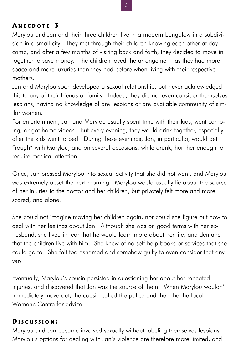## **A NECDOTE 3**

Marylou and Jan and their three children live in a modern bungalow in a subdivision in a small city. They met through their children knowing each other at day camp, and after a few months of visiting back and forth, they decided to move in together to save money. The children loved the arrangement, as they had more space and more luxuries than they had before when living with their respective mothers.

Jan and Marylou soon developed a sexual relationship, but never acknowledged this to any of their friends or family. Indeed, they did not even consider themselves lesbians, having no knowledge of any lesbians or any available community of similar women.

For entertainment, Jan and Marylou usually spent time with their kids, went camping, or got home videos. But every evening, they would drink together, especially after the kids went to bed. During these evenings, Jan, in particular, would get "rough" with Marylou, and on several occasions, while drunk, hurt her enough to require medical attention.

Once, Jan pressed Marylou into sexual activity that she did not want, and Marylou was extremely upset the next morning. Marylou would usually lie about the source of her injuries to the doctor and her children, but privately felt more and more scared, and alone.

She could not imagine moving her children again, nor could she figure out how to deal with her feelings about Jan. Although she was on good terms with her exhusband, she lived in fear that he would learn more about her life, and demand that the children live with him. She knew of no self-help books or services that she could go to. She felt too ashamed and somehow guilty to even consider that anyway.

Eventually, Marylou's cousin persisted in questioning her about her repeated injuries, and discovered that Jan was the source of them. When Marylou wouldn't immediately move out, the cousin called the police and then the the local Women's Centre for advice.

#### **D ISCUSSION :**

Marylou and Jan became involved sexually without labeling themselves lesbians. Marylou's options for dealing with Jan's violence are therefore more limited, and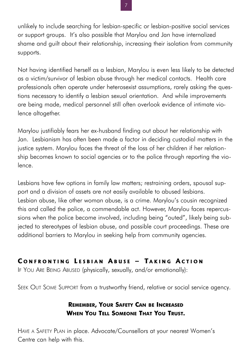unlikely to include searching for lesbian-specific or lesbian-positive social services or support groups. It's also possible that Marylou and Jan have internalized shame and guilt about their relationship, increasing their isolation from community supports.

Not having identified herself as a lesbian, Marylou is even less likely to be detected as a victim/survivor of lesbian abuse through her medical contacts. Health care professionals often operate under heterosexist assumptions, rarely asking the questions necessary to identify a lesbian sexual orientation. And while improvements are being made, medical personnel still often overlook evidence of intimate violence altogether.

Marylou justifiably fears her ex-husband finding out about her relationship with Jan. Lesbianism has often been made a factor in deciding custodial matters in the justice system. Marylou faces the threat of the loss of her children if her relationship becomes known to social agencies or to the police through reporting the violence.

Lesbians have few options in family law matters; restraining orders, spousal support and a division of assets are not easily available to abused lesbians. Lesbian abuse, like other woman abuse, is a crime. Marylou's cousin recognized this and called the police, a commendable act. However, Marylou faces repercussions when the police become involved, including being "outed", likely being subjected to stereotypes of lesbian abuse, and possible court proceedings. These are additional barriers to Marylou in seeking help from community agencies.

## **C ONFRONTING L ESBIAN A BUSE – T AKING A CTION**

IF YOU ARE BEING ABUSED (physically, sexually, and/or emotionally):

SEEK OUT SOME SUPPORT from a trustworthy friend, relative or social service agency.

## **REMEMBER, YOUR SAFETY CAN BE INCREASED WHEN YOU TELL SOMEONE THAT YOU TRUST.**

HAVE A SAFETY PLAN in place. Advocate/Counsellors at your nearest Women's Centre can help with this.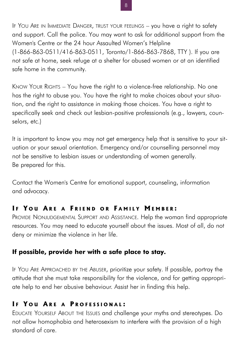IF YOU ARE IN IMMEDIATE DANGER, TRUST YOUR FEELINGS – you have a right to safety and support. Call the police. You may want to ask for additional support from the Women's Centre or the 24 hour Assaulted Women's Helpline (1-866-863-0511/416-863-0511, Toronto/1-866-863-7868, TTY ). If you are not safe at home, seek refuge at a shelter for abused women or at an identified safe home in the community.

KNOW YOUR RIGHTS – You have the right to a violence-free relationship. No one has the right to abuse you. You have the right to make choices about your situation, and the right to assistance in making those choices. You have a right to specifically seek and check out lesbian-positive professionals (e.g., lawyers, counselors, etc.)

It is important to know you may not get emergency help that is sensitive to your situation or your sexual orientation. Emergency and/or counselling personnel may not be sensitive to lesbian issues or understanding of women generally. Be prepared for this.

Contact the Women's Centre for emotional support, counseling, information and advocacy.

## **I F Y O U A R E A F RIEND O R F AMILY M EMBER :**

PROVIDE NONJUDGEMENTAL SUPPORT AND ASSISTANCE. Help the woman find appropriate resources. You may need to educate yourself about the issues. Most of all, do not deny or minimize the violence in her life.

#### **If possible, provide her with a safe place to stay.**

IF YOU ARE APPROACHED BY THE ABUSER, prioritize your safety. If possible, portray the attitude that she must take responsibility for the violence, and for getting appropriate help to end her abusive behaviour. Assist her in finding this help.

## **I F Y O U A R E A P ROFESSIONAL :**

EDUCATE YOURSELF ABOUT THE ISSUES and challenge your myths and stereotypes. Do not allow homophobia and heterosexism to interfere with the provision of a high standard of care.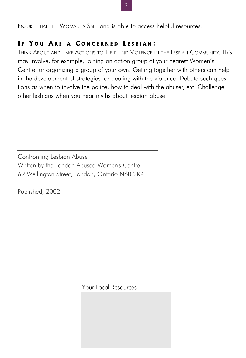ENSURE THAT THE WOMAN IS SAFE and is able to access helpful resources.

#### **I F Y O U A R E A C ONCERNED L ESBIAN :**

THINK ABOUT AND TAKE ACTIONS TO HELP END VIOLENCE IN THE LESBIAN COMMUNITY. This may involve, for example, joining an action group at your nearest Women's Centre, or organizing a group of your own. Getting together with others can help in the development of strategies for dealing with the violence. Debate such questions as when to involve the police, how to deal with the abuser, etc. Challenge other lesbians when you hear myths about lesbian abuse.

Confronting Lesbian Abuse Written by the London Abused Women's Centre 69 Wellington Street, London, Ontario N6B 2K4

Published, 2002

Your Local Resources